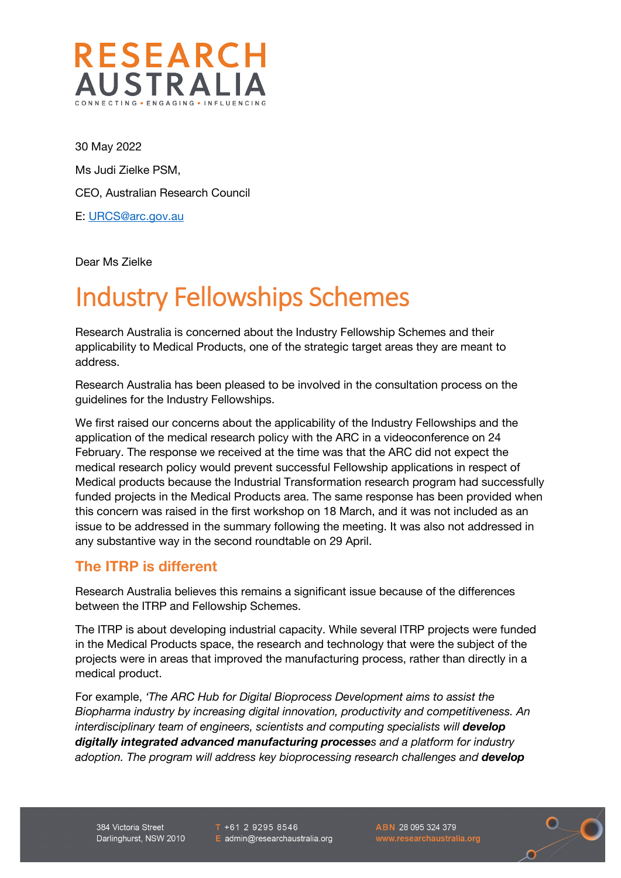

30 May 2022 Ms Judi Zielke PSM, CEO, Australian Research Council E: URCS@arc.gov.au

Dear Ms Zielke

## Industry Fellowships Schemes

Research Australia is concerned about the Industry Fellowship Schemes and their applicability to Medical Products, one of the strategic target areas they are meant to address.

Research Australia has been pleased to be involved in the consultation process on the guidelines for the Industry Fellowships.

We first raised our concerns about the applicability of the Industry Fellowships and the application of the medical research policy with the ARC in a videoconference on 24 February. The response we received at the time was that the ARC did not expect the medical research policy would prevent successful Fellowship applications in respect of Medical products because the Industrial Transformation research program had successfully funded projects in the Medical Products area. The same response has been provided when this concern was raised in the first workshop on 18 March, and it was not included as an issue to be addressed in the summary following the meeting. It was also not addressed in any substantive way in the second roundtable on 29 April.

## **The ITRP is different**

Research Australia believes this remains a significant issue because of the differences between the ITRP and Fellowship Schemes.

The ITRP is about developing industrial capacity. While several ITRP projects were funded in the Medical Products space, the research and technology that were the subject of the projects were in areas that improved the manufacturing process, rather than directly in a medical product.

For example, *'The ARC Hub for Digital Bioprocess Development aims to assist the Biopharma industry by increasing digital innovation, productivity and competitiveness. An interdisciplinary team of engineers, scientists and computing specialists will develop digitally integrated advanced manufacturing processes and a platform for industry adoption. The program will address key bioprocessing research challenges and develop* 

384 Victoria Street Darlinghurst, NSW 2010  $T + 61292958546$ E admin@researchaustralia.org ABN 28 095 324 379